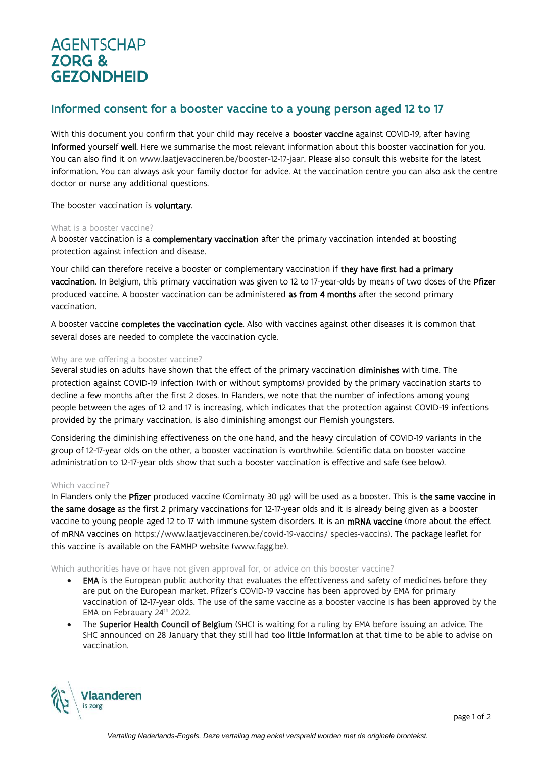# **AGENTSCHAP ZORG & GEZONDHEID**

# Informed consent for a booster vaccine to a young person aged 12 to 17

With this document you confirm that your child may receive a **booster vaccine** against COVID-19, after having informed yourself well. Here we summarise the most relevant information about this booster vaccination for you. You can also find it on [www.laatjevaccineren.be/booster-12-17-jaar.](http://www.laatjevaccineren.be/booster-12-17-jaar) Please also consult this website for the latest information. You can always ask your family doctor for advice. At the vaccination centre you can also ask the centre doctor or nurse any additional questions.

The booster vaccination is voluntary.

### What is a booster vaccine?

A booster vaccination is a complementary vaccination after the primary vaccination intended at boosting protection against infection and disease.

Your child can therefore receive a booster or complementary vaccination if they have first had a primary vaccination. In Belgium, this primary vaccination was given to 12 to 17-year-olds by means of two doses of the Pfizer produced vaccine. A booster vaccination can be administered as from 4 months after the second primary vaccination.

A booster vaccine completes the vaccination cycle. Also with vaccines against other diseases it is common that several doses are needed to complete the vaccination cycle.

## Why are we offering a booster vaccine?

Several studies on adults have shown that the effect of the primary vaccination diminishes with time. The protection against COVID-19 infection (with or without symptoms) provided by the primary vaccination starts to decline a few months after the first 2 doses. In Flanders, we note that the number of infections among young people between the ages of 12 and 17 is increasing, which indicates that the protection against COVID-19 infections provided by the primary vaccination, is also diminishing amongst our Flemish youngsters.

Considering the diminishing effectiveness on the one hand, and the heavy circulation of COVID-19 variants in the group of 12-17-year olds on the other, a booster vaccination is worthwhile. Scientific data on booster vaccine administration to 12-17-year olds show that such a booster vaccination is effective and safe (see below).

# Which vaccine?

In Flanders only the Pfizer produced vaccine (Comirnaty 30 µg) will be used as a booster. This is the same vaccine in the same dosage as the first 2 primary vaccinations for 12-17-year olds and it is already being given as a booster vaccine to young people aged 12 to 17 with immune system disorders. It is an mRNA vaccine (more about the effect of mRNA vaccines on [https://www.laatjevaccineren.be/covid-19-vaccins/ species-vaccins\)](https://www.laatjevaccineren.be/covid-19-vaccins/soorten-vaccins). The package leaflet for this vaccine is available on the FAMHP website [\(www.fagg.be\)](http://www.fagg.be/).

Which authorities have or have not given approval for, or advice on this booster vaccine?

- EMA is the European public authority that evaluates the effectiveness and safety of medicines before they are put on the European market. Pfizer's COVID-19 vaccine has been approved by EMA for primary vaccination of 12-17-year olds. The use of the same vaccine as a booster vaccine is [has been approved](https://www.ema.europa.eu/en/news/ema-recommends-authorisation-booster-doses-comirnaty-12-years-aged=0) by the EMA [on Febrauary 24](https://www.ema.europa.eu/en/news/ema-recommends-authorisation-booster-doses-comirnaty-12-years-aged=0)<sup>th</sup> 2022.
- The Superior Health Council of Belgium (SHC) is waiting for a ruling by EMA before issuing an advice. The SHC announced on 28 January that they still had too little information at that time to be able to advise on vaccination.